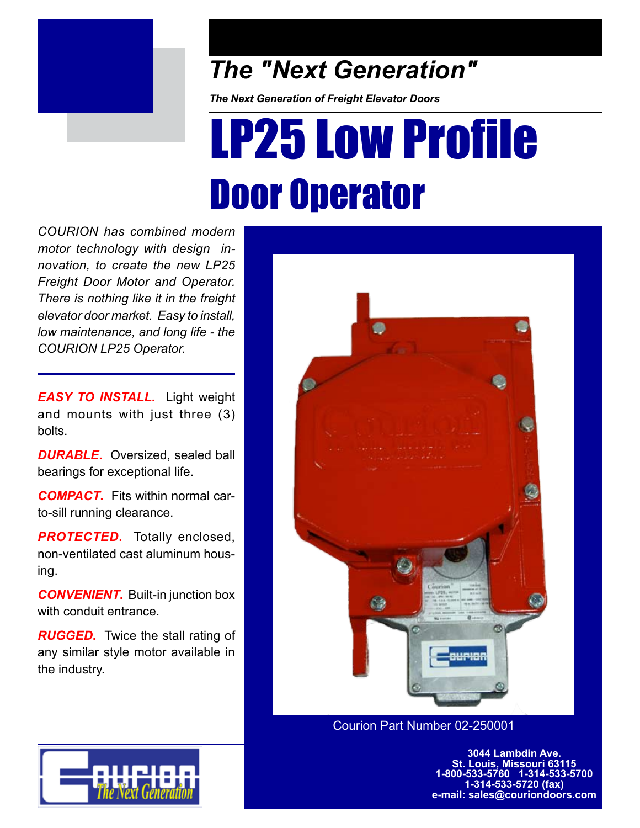

## *The "Next Generation"*

*The Next Generation of Freight Elevator Doors*

## LP25 Low Profile Door Operator

*COURION has combined modern motor technology with design innovation, to create the new LP25 Freight Door Motor and Operator. There is nothing like it in the freight elevator door market. Easy to install, low maintenance, and long life - the COURION LP25 Operator.* 

*EASY TO INSTALL.* Light weight and mounts with just three (3) bolts.

*DURABLE***.** Oversized, sealed ball bearings for exceptional life.

*COMPACT***.** Fits within normal carto-sill running clearance.

**PROTECTED.** Totally enclosed, non-ventilated cast aluminum housing.

**CONVENIENT.** Built-in junction box with conduit entrance

*RUGGED*. Twice the stall rating of any similar style motor available in the industry.



Courion Part Number 02-250001

**3044 Lambdin Ave. St. Louis, Missouri 63115 1-800-533-5760 1-314-533-5700 1-314-533-5720 (fax) e-mail: sales@couriondoors.com**